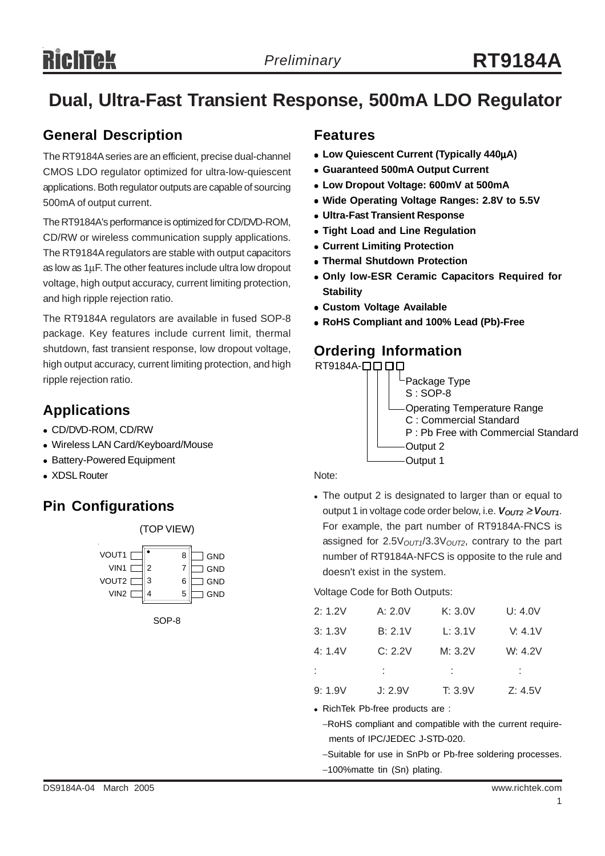## **Dual, Ultra-Fast Transient Response, 500mA LDO Regulator**

## **General Description**

The RT9184A series are an efficient, precise dual-channel CMOS LDO regulator optimized for ultra-low-quiescent applications. Both regulator outputs are capable of sourcing 500mA of output current.

The RT9184A's performance is optimized for CD/DVD-ROM, CD/RW or wireless communication supply applications. The RT9184A regulators are stable with output capacitors as low as 1µF. The other features include ultra low dropout voltage, high output accuracy, current limiting protection, and high ripple rejection ratio.

The RT9184A regulators are available in fused SOP-8 package. Key features include current limit, thermal shutdown, fast transient response, low dropout voltage, high output accuracy, current limiting protection, and high ripple rejection ratio.

## **Applications**

- CD/DVD-ROM, CD/RW
- Wireless LAN Card/Keyboard/Mouse
- Battery-Powered Equipment
- **A** XDSL Router

## **Pin Configurations**

(TOP VIEW) VOUT<sub>1</sub> VIN<sub>1</sub> VOUT<sub>2</sub> GND  $\exists$  GND GND  $\overline{2}$ 3 6 7 8



VIN2  $||4 5||$  GND

5

### **Features**

- <sup>z</sup> **Low Quiescent Current (Typically 440**µ**A)**
- <sup>z</sup> **Guaranteed 500mA Output Current**
- <sup>z</sup> **Low Dropout Voltage: 600mV at 500mA**
- Wide Operating Voltage Ranges: 2.8V to 5.5V
- **Ultra-Fast Transient Response**
- **Tight Load and Line Regulation**
- **Current Limiting Protection**
- **Thermal Shutdown Protection**
- **Only low-ESR Ceramic Capacitors Required for Stability**
- **Custom Voltage Available**
- <sup>z</sup> **RoHS Compliant and 100% Lead (Pb)-Free**

## **Ordering Information**



Note:

• The output 2 is designated to larger than or equal to output 1 in voltage code order below, i.e. *Voutz* ≥ *Vout1*. For example, the part number of RT9184A-FNCS is assigned for 2.5V*OUT1*/3.3V*OUT2*, contrary to the part number of RT9184A-NFCS is opposite to the rule and doesn't exist in the system.

Voltage Code for Both Outputs:

| 2:1.2V | A: 2.0V | K: 3.0V | U: 4.0V |
|--------|---------|---------|---------|
| 3:1.3V | B: 2.1V | L: 3.1V | V: 4.1V |
| 4:1.4V | C: 2.2V | M: 3.2V | W: 4.2V |
| ÷.     | ÷.      | $\sim$  | $\sim$  |
| 9:1.9V | J: 2.9V | T: 3.9V | Z: 4.5V |

• RichTek Pb-free products are :

−RoHS compliant and compatible with the current require ments of IPC/JEDEC J-STD-020.

−Suitable for use in SnPb or Pb-free soldering processes. −100%matte tin (Sn) plating.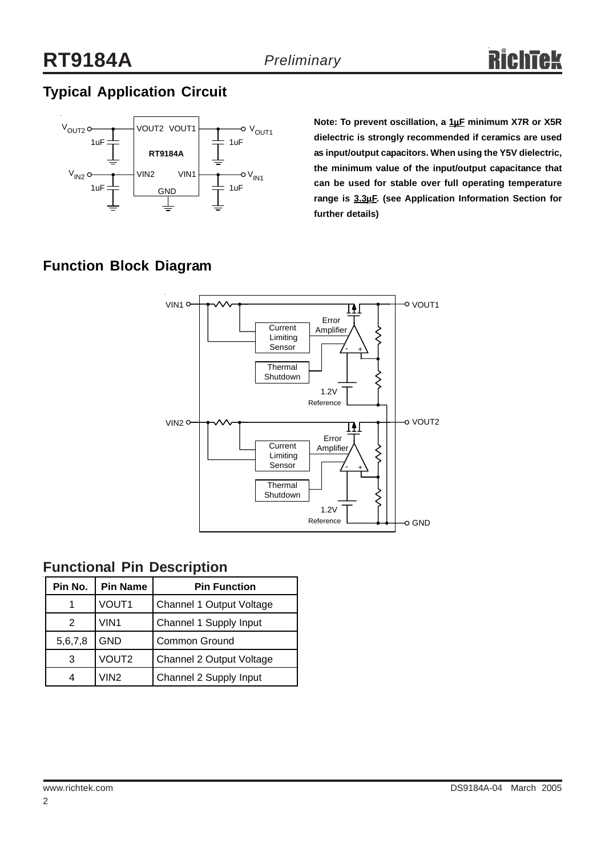## **Typical Application Circuit**



**Note: To prevent oscillation, a 1**µ**F minimum X7R or X5R dielectric is strongly recommended if ceramics are used as input/output capacitors. When using the Y5V dielectric, the minimum value of the input/output capacitance that can be used for stable over full operating temperature range is 3.3**µ**F. (see Application Information Section for further details)**

## **Function Block Diagram**



## **Functional Pin Description**

| Pin No. | <b>Pin Name</b>   | <b>Pin Function</b>      |  |  |
|---------|-------------------|--------------------------|--|--|
|         | VOUT <sub>1</sub> | Channel 1 Output Voltage |  |  |
| 2       | VIN1              | Channel 1 Supply Input   |  |  |
| 5,6,7,8 | <b>GND</b>        | Common Ground            |  |  |
| 3       | VOUT2             | Channel 2 Output Voltage |  |  |
|         | VIN2              | Channel 2 Supply Input   |  |  |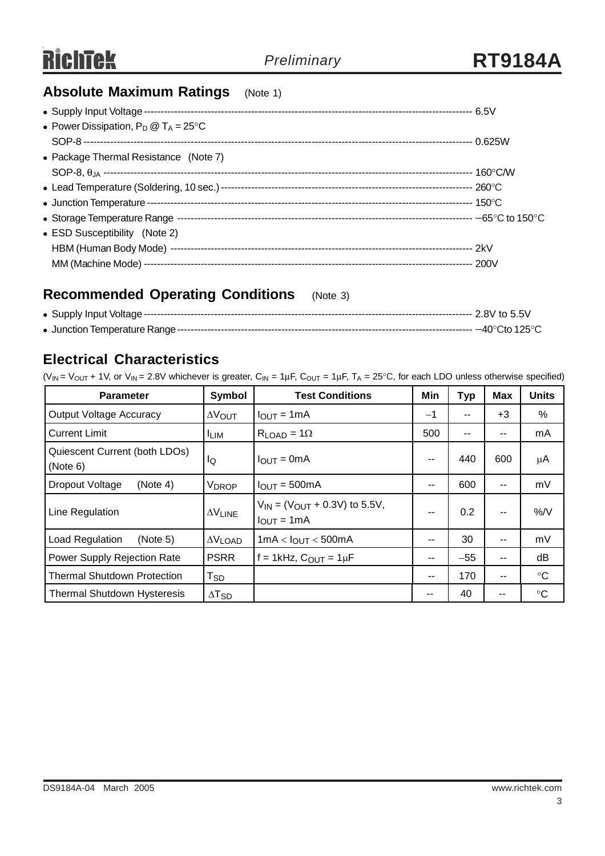## **Absolute Maximum Ratings** (Note 1)

| • Power Dissipation, $P_D @ T_A = 25^{\circ}C$ |  |
|------------------------------------------------|--|
|                                                |  |
| • Package Thermal Resistance (Note 7)          |  |
|                                                |  |
|                                                |  |
|                                                |  |
|                                                |  |
| • ESD Susceptibility (Note 2)                  |  |
|                                                |  |
|                                                |  |

## **Recommended Operating Conditions** (Note 3)

## **Electrical Characteristics**

(V<sub>IN</sub> = V<sub>OUT</sub> + 1V, or V<sub>IN</sub> = 2.8V whichever is greater, C<sub>IN</sub> = 1µF, C<sub>OUT</sub> = 1µF, T<sub>A</sub> = 25°C, for each LDO unless otherwise specified)

| <b>Parameter</b>                          | Symbol                   | <b>Test Conditions</b>                                     | Min                      | <b>Typ</b> | <b>Max</b>               | <b>Units</b>    |
|-------------------------------------------|--------------------------|------------------------------------------------------------|--------------------------|------------|--------------------------|-----------------|
| <b>Output Voltage Accuracy</b>            | $\Delta V_{\text{OUT}}$  | $I_{\text{OUT}} = 1 \text{mA}$                             | $-1$                     | --         | $+3$                     | %               |
| <b>Current Limit</b>                      | <sup>I</sup> LIM         | $R_{LOAD} = 1\Omega$                                       | 500                      | --         | --                       | mA              |
| Quiescent Current (both LDOs)<br>(Note 6) | ΙQ                       | $IOUT = 0mA$                                               | --                       | 440        | 600                      | μA              |
| Dropout Voltage<br>(Note 4)               | <b>V<sub>DROP</sub></b>  | $I_{OUT} = 500mA$                                          | --                       | 600        | $\sim$ $\sim$            | mV              |
| Line Regulation                           | $\Delta V$ LINE          | $V_{IN}$ = ( $V_{OUT}$ + 0.3V) to 5.5V,<br>$I_{OUT} = 1mA$ | $\overline{\phantom{a}}$ | 0.2        | $\overline{\phantom{m}}$ | %N              |
| Load Regulation<br>(Note 5)               | $\Delta V$ LOAD          | $1mA < I_{OUT} < 500mA$                                    | --                       | 30         | $\overline{\phantom{a}}$ | mV              |
| Power Supply Rejection Rate               | <b>PSRR</b>              | $f = 1kHz$ , $C_{OUT} = 1\mu F$                            | --                       | $-55$      | $\overline{\phantom{a}}$ | dB              |
| <b>Thermal Shutdown Protection</b>        | $T_{SD}$                 |                                                            | --                       | 170        | $\mathbf{u}$             | $\rm ^{\circ}C$ |
| <b>Thermal Shutdown Hysteresis</b>        | $\Delta$ T <sub>SD</sub> |                                                            | --                       | 40         | --                       | $\rm ^{\circ}C$ |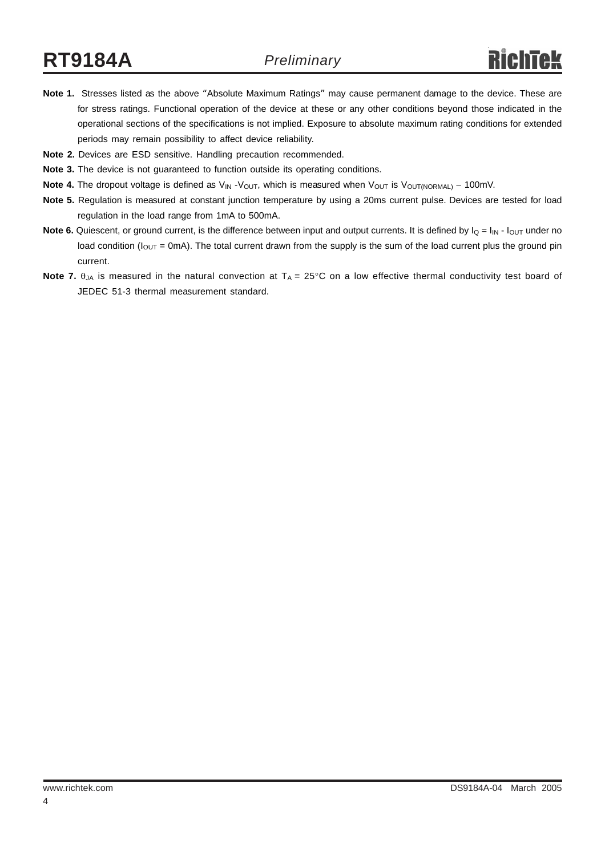## **RT9184A** *Preliminary*

- **Note 1.** Stresses listed as the above "Absolute Maximum Ratings" may cause permanent damage to the device. These are for stress ratings. Functional operation of the device at these or any other conditions beyond those indicated in the operational sections of the specifications is not implied. Exposure to absolute maximum rating conditions for extended periods may remain possibility to affect device reliability.
- **Note 2.** Devices are ESD sensitive. Handling precaution recommended.
- **Note 3.** The device is not guaranteed to function outside its operating conditions.
- **Note 4.** The dropout voltage is defined as V<sub>IN</sub> -V<sub>OUT</sub>, which is measured when V<sub>OUT</sub> is V<sub>OUT(NORMAL)</sub> − 100mV.
- **Note 5.** Regulation is measured at constant junction temperature by using a 20ms current pulse. Devices are tested for load regulation in the load range from 1mA to 500mA.
- **Note 6.** Quiescent, or ground current, is the difference between input and output currents. It is defined by  $I_Q = I_{IN} I_{OUT}$  under no load condition ( $I_{\text{OUT}}$  = 0mA). The total current drawn from the supply is the sum of the load current plus the ground pin current.
- **Note 7.**  $\theta_{JA}$  is measured in the natural convection at  $T_A = 25^\circ \text{C}$  on a low effective thermal conductivity test board of JEDEC 51-3 thermal measurement standard.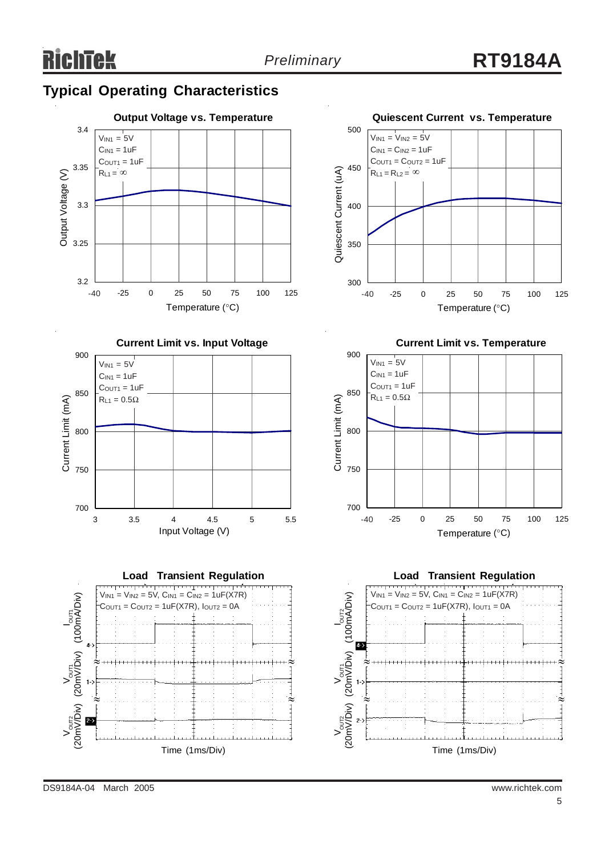## **Typical Operating Characteristics**











**Current Limit vs. Temperature**





DS9184A-04 March 2005 www.richtek.com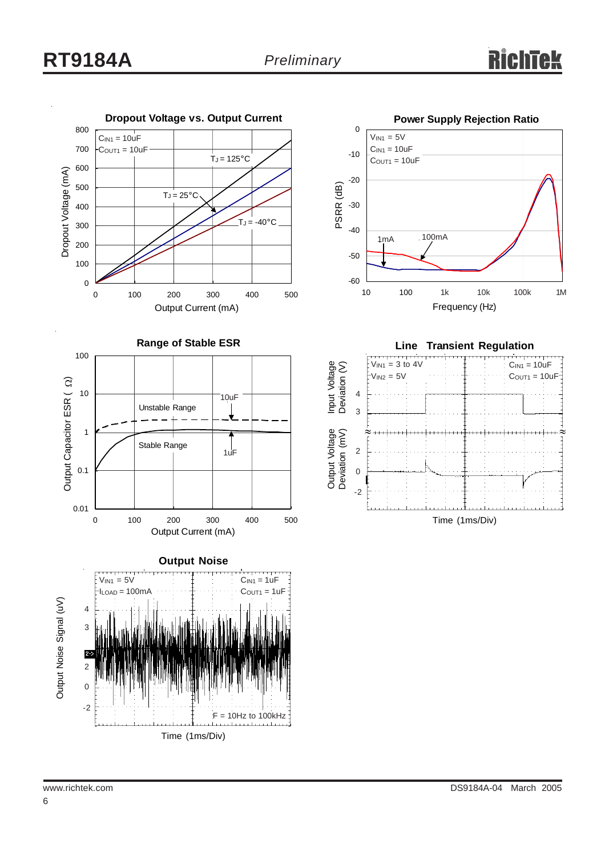

Time (1ms/Div)



**Line Transient Regulation**

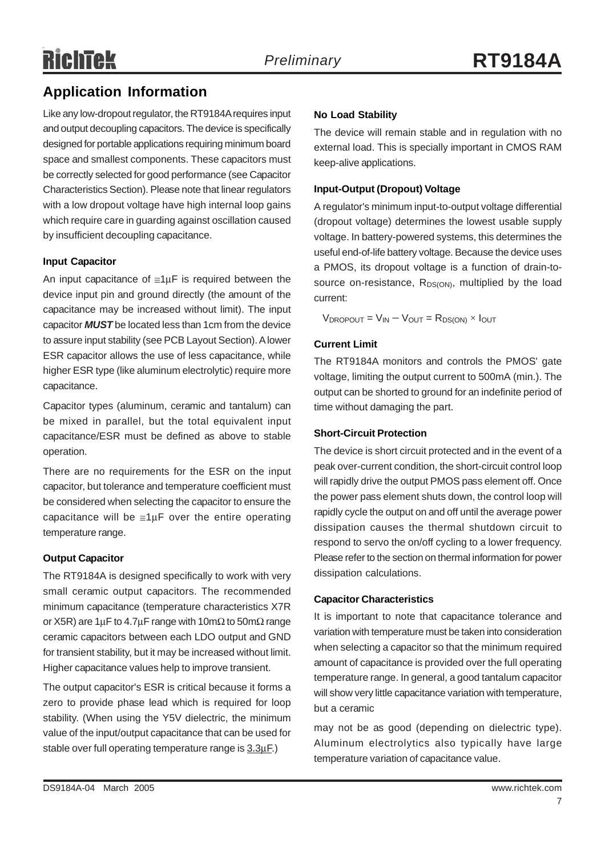## **Application Information**

Like any low-dropout regulator, the RT9184A requires input and output decoupling capacitors. The device is specifically designed for portable applications requiring minimum board space and smallest components. These capacitors must be correctly selected for good performance (see Capacitor Characteristics Section). Please note that linear regulators with a low dropout voltage have high internal loop gains which require care in guarding against oscillation caused by insufficient decoupling capacitance.

#### **Input Capacitor**

An input capacitance of  $\leq 1 \mu$ F is required between the device input pin and ground directly (the amount of the capacitance may be increased without limit). The input capacitor *MUST* be located less than 1cm from the device to assure input stability (see PCB Layout Section). A lower ESR capacitor allows the use of less capacitance, while higher ESR type (like aluminum electrolytic) require more capacitance.

Capacitor types (aluminum, ceramic and tantalum) can be mixed in parallel, but the total equivalent input capacitance/ESR must be defined as above to stable operation.

There are no requirements for the ESR on the input capacitor, but tolerance and temperature coefficient must be considered when selecting the capacitor to ensure the capacitance will be  $\leq 1 \mu$ F over the entire operating temperature range.

#### **Output Capacitor**

The RT9184A is designed specifically to work with very small ceramic output capacitors. The recommended minimum capacitance (temperature characteristics X7R or X5R) are 1µF to 4.7µF range with 10m $\Omega$  to 50m $\Omega$  range ceramic capacitors between each LDO output and GND for transient stability, but it may be increased without limit. Higher capacitance values help to improve transient.

The output capacitor's ESR is critical because it forms a zero to provide phase lead which is required for loop stability. (When using the Y5V dielectric, the minimum value of the input/output capacitance that can be used for stable over full operating temperature range is  $3.3 \mu$ F.)

#### **No Load Stability**

The device will remain stable and in regulation with no external load. This is specially important in CMOS RAM keep-alive applications.

#### **Input-Output (Dropout) Voltage**

A regulator's minimum input-to-output voltage differential (dropout voltage) determines the lowest usable supply voltage. In battery-powered systems, this determines the useful end-of-life battery voltage. Because the device uses a PMOS, its dropout voltage is a function of drain-tosource on-resistance,  $R_{DS(ON)}$ , multiplied by the load current:

 $V_{\text{DROPOUT}} = V_{\text{IN}} - V_{\text{OUT}} = R_{\text{DS(ON)}} \times I_{\text{OUT}}$ 

#### **Current Limit**

The RT9184A monitors and controls the PMOS' gate voltage, limiting the output current to 500mA (min.). The output can be shorted to ground for an indefinite period of time without damaging the part.

#### **Short-Circuit Protection**

The device is short circuit protected and in the event of a peak over-current condition, the short-circuit control loop will rapidly drive the output PMOS pass element off. Once the power pass element shuts down, the control loop will rapidly cycle the output on and off until the average power dissipation causes the thermal shutdown circuit to respond to servo the on/off cycling to a lower frequency. Please refer to the section on thermal information for power dissipation calculations.

#### **Capacitor Characteristics**

It is important to note that capacitance tolerance and variation with temperature must be taken into consideration when selecting a capacitor so that the minimum required amount of capacitance is provided over the full operating temperature range. In general, a good tantalum capacitor will show very little capacitance variation with temperature, but a ceramic

may not be as good (depending on dielectric type). Aluminum electrolytics also typically have large temperature variation of capacitance value.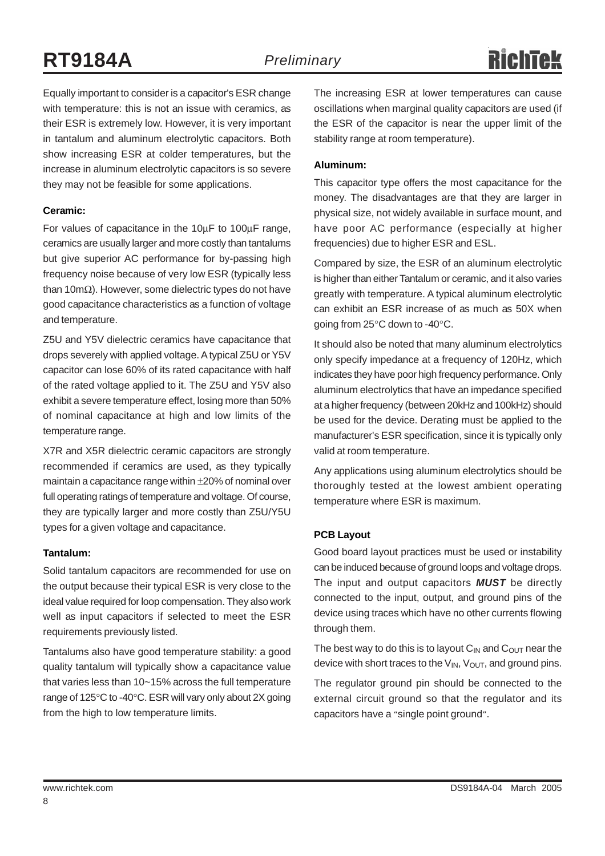## **RT9184A** *Preliminary*

Equally important to consider is a capacitor's ESR change with temperature: this is not an issue with ceramics, as their ESR is extremely low. However, it is very important in tantalum and aluminum electrolytic capacitors. Both show increasing ESR at colder temperatures, but the increase in aluminum electrolytic capacitors is so severe they may not be feasible for some applications.

#### **Ceramic:**

For values of capacitance in the 10µF to 100µF range, ceramics are usually larger and more costly than tantalums but give superior AC performance for by-passing high frequency noise because of very low ESR (typically less than 10mΩ). However, some dielectric types do not have good capacitance characteristics as a function of voltage and temperature.

Z5U and Y5V dielectric ceramics have capacitance that drops severely with applied voltage. A typical Z5U or Y5V capacitor can lose 60% of its rated capacitance with half of the rated voltage applied to it. The Z5U and Y5V also exhibit a severe temperature effect, losing more than 50% of nominal capacitance at high and low limits of the temperature range.

X7R and X5R dielectric ceramic capacitors are strongly recommended if ceramics are used, as they typically maintain a capacitance range within ±20% of nominal over full operating ratings of temperature and voltage. Of course, they are typically larger and more costly than Z5U/Y5U types for a given voltage and capacitance.

#### **Tantalum:**

Solid tantalum capacitors are recommended for use on the output because their typical ESR is very close to the ideal value required for loop compensation. They also work well as input capacitors if selected to meet the ESR requirements previously listed.

Tantalums also have good temperature stability: a good quality tantalum will typically show a capacitance value that varies less than 10~15% across the full temperature range of 125°C to -40°C. ESR will vary only about 2X going from the high to low temperature limits.

The increasing ESR at lower temperatures can cause oscillations when marginal quality capacitors are used (if the ESR of the capacitor is near the upper limit of the stability range at room temperature).

#### **Aluminum:**

This capacitor type offers the most capacitance for the money. The disadvantages are that they are larger in physical size, not widely available in surface mount, and have poor AC performance (especially at higher frequencies) due to higher ESR and ESL.

Compared by size, the ESR of an aluminum electrolytic is higher than either Tantalum or ceramic, and it also varies greatly with temperature. A typical aluminum electrolytic can exhibit an ESR increase of as much as 50X when going from 25°C down to -40°C.

It should also be noted that many aluminum electrolytics only specify impedance at a frequency of 120Hz, which indicates they have poor high frequency performance. Only aluminum electrolytics that have an impedance specified at a higher frequency (between 20kHz and 100kHz) should be used for the device. Derating must be applied to the manufacturer's ESR specification, since it is typically only valid at room temperature.

Any applications using aluminum electrolytics should be thoroughly tested at the lowest ambient operating temperature where ESR is maximum.

#### **PCB Layout**

Good board layout practices must be used or instability can be induced because of ground loops and voltage drops. The input and output capacitors *MUST* be directly connected to the input, output, and ground pins of the device using traces which have no other currents flowing through them.

The best way to do this is to layout  $C_{IN}$  and  $C_{OUT}$  near the device with short traces to the  $V_{IN}$ ,  $V_{OUT}$ , and ground pins.

The regulator ground pin should be connected to the external circuit ground so that the regulator and its capacitors have a "single point ground".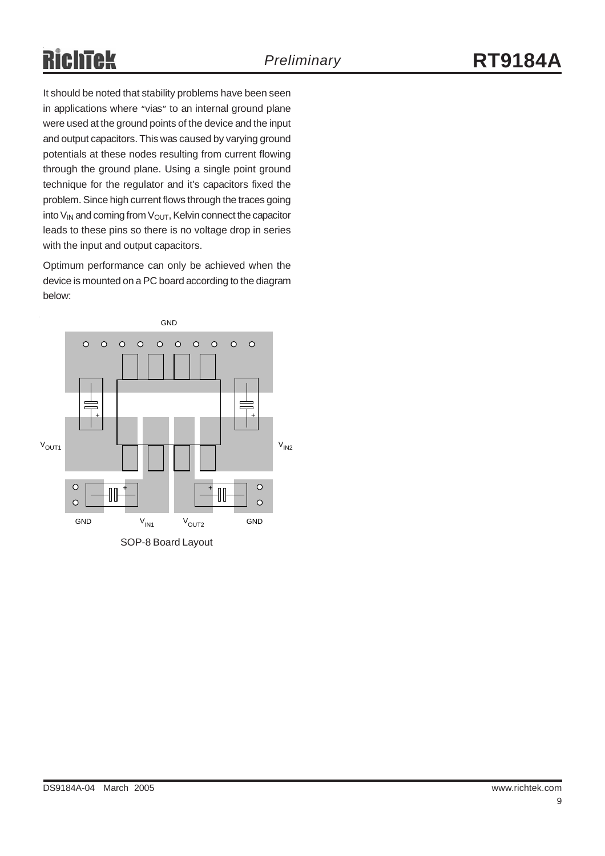# **RichTek**

It should be noted that stability problems have been seen in applications where "vias" to an internal ground plane were used at the ground points of the device and the input and output capacitors. This was caused by varying ground

potentials at these nodes resulting from current flowing through the ground plane. Using a single point ground technique for the regulator and it's capacitors fixed the problem. Since high current flows through the traces going into  $V_{IN}$  and coming from  $V_{OUT}$ , Kelvin connect the capacitor leads to these pins so there is no voltage drop in series with the input and output capacitors.

Optimum performance can only be achieved when the device is mounted on a PC board according to the diagram below: